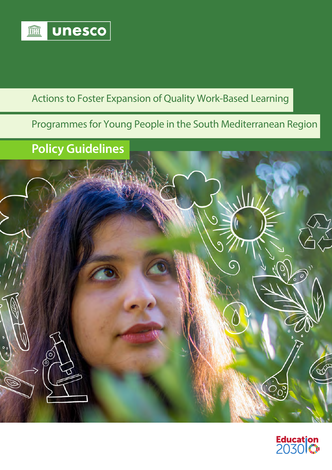

## Actions to Foster Expansion of Quality Work-Based Learning

## Programmes for Young People in the South Mediterranean Region

## **Policy Guidelines**



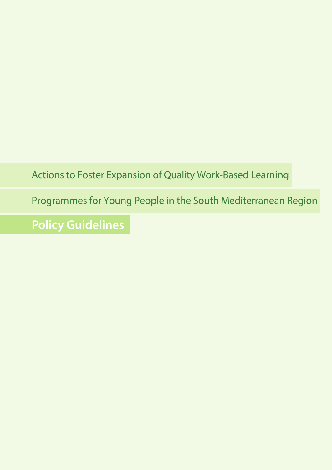Actions to Foster Expansion of Quality Work-Based Learning

Programmes for Young People in the South Mediterranean Region

**Policy Guidelines**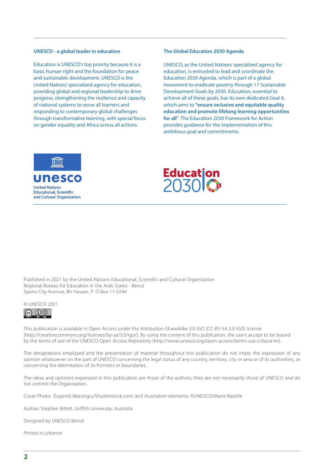#### **UNESCO - a global leader in education**

Education is UNESCO's top priority because it is a basic human right and the foundation for peace and sustainable development. UNESCO is the United Nations' specialized agency for education, providing global and regional leadership to drive progress, strengthening the resilience and capacity of national systems to serve all learners and responding to contemporary global challenges through transformative learning, with special focus on gender equality and Africa across all actions.

#### **The Global Education 2030 Agenda**

UNESCO, as the United Nations' specialized agency for education, is entrusted to lead and coordinate the Education 2030 Agenda, which is part of a global movement to eradicate poverty through 17 Sustainable Development Goals by 2030. Education, essential to achieve all of these goals, has its own dedicated Goal 4, which aims to **"ensure inclusive and equitable quality education and promote lifelong learning opportunities for all"**. The Education 2030 Framework for Action provides guidance for the implementation of this ambitious goal and commitments.





Published in 2021 by the United Nations Educational, Scientific and Cultural Organization Regional Bureau for Education in the Arab States - Beirut Sports City Avenue, Bir Hassan, P. O Box 11-5244

#### © UNESCO 2021



This publication is available in Open Access under the Attribution-ShareAlike 3.0 IGO (CC-BY-SA 3.0 IGO) license (http://creativecommons.org/licenses/by-sa/3.0/igo/). By using the content of this publication, the users accept to be bound by the terms of use of the UNESCO Open Access Repository (http://www.unesco.org/open-access/terms-use-ccbysa-en).

The designations employed and the presentation of material throughout this publication do not imply the expression of any opinion whatsoever on the part of UNESCO concerning the legal status of any country, territory, city or area or of its authorities, or concerning the delimitation of its frontiers or boundaries.

The ideas and opinions expressed in this publication are those of the authors; they are not necessarily those of UNESCO and do not commit the Organization.

Cover Photo: Eugenio Marongiu/Shutterstock.com; and illustration elements: ©UNESCO/Marie Bastille

Author: Stephen Billett, Griffith University, Australia

Designed by UNESCO Beirut

*Printed in Lebanon*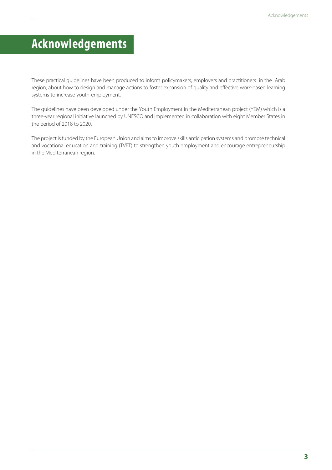## **Acknowledgements**

These practical guidelines have been produced to inform policymakers, employers and practitioners in the Arab region, about how to design and manage actions to foster expansion of quality and effective work-based learning systems to increase youth employment.

The guidelines have been developed under the Youth Employment in the Mediterranean project (YEM) which is a three-year regional initiative launched by UNESCO and implemented in collaboration with eight Member States in the period of 2018 to 2020.

The project is funded by the European Union and aims to improve skills anticipation systems and promote technical and vocational education and training (TVET) to strengthen youth employment and encourage entrepreneurship in the Mediterranean region.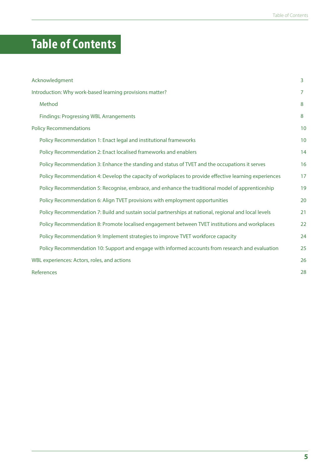# **Table of Contents**

| Acknowledgment                                                                                        | 3  |  |
|-------------------------------------------------------------------------------------------------------|----|--|
| Introduction: Why work-based learning provisions matter?                                              |    |  |
| Method                                                                                                | 8  |  |
| <b>Findings: Progressing WBL Arrangements</b>                                                         | 8  |  |
| <b>Policy Recommendations</b>                                                                         |    |  |
| Policy Recommendation 1: Enact legal and institutional frameworks                                     | 10 |  |
| Policy Recommendation 2: Enact localised frameworks and enablers                                      | 14 |  |
| Policy Recommendation 3: Enhance the standing and status of TVET and the occupations it serves        | 16 |  |
| Policy Recommendation 4: Develop the capacity of workplaces to provide effective learning experiences | 17 |  |
| Policy Recommendation 5: Recognise, embrace, and enhance the traditional model of apprenticeship      | 19 |  |
| Policy Recommendation 6: Align TVET provisions with employment opportunities                          | 20 |  |
| Policy Recommendation 7: Build and sustain social partnerships at national, regional and local levels | 21 |  |
| Policy Recommendation 8: Promote localised engagement between TVET institutions and workplaces        | 22 |  |
| Policy Recommendation 9: Implement strategies to improve TVET workforce capacity                      | 24 |  |
| Policy Recommendation 10: Support and engage with informed accounts from research and evaluation      | 25 |  |
| WBL experiences: Actors, roles, and actions                                                           |    |  |
| References                                                                                            |    |  |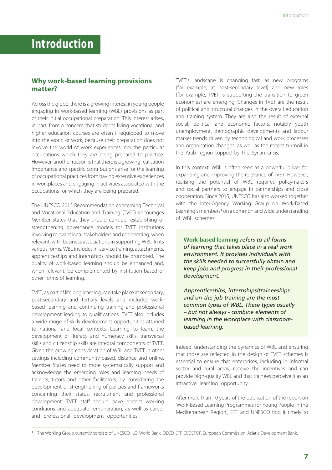## **Introduction**

### **Why work-based learning provisions matter?**

Across the globe, there is a growing interest in young people engaging in work-based learning (WBL) provisions as part of their initial occupational preparation. This interest arises, in part, from a concern that students living vocational and higher education courses are often ill-equipped to move into the world of work, because their preparation does not involve the world of work experiences, nor the particular occupations which they are being prepared to practice. However, another reason is that there is a growing realisation importance and specific contributions arise for the learning of occupational practices from having extensive experiences in workplaces and engaging in activities associated with the occupations for which they are being prepared.

The UNESCO 2015 Recommendation concerning Technical and Vocational Education and Training (TVET) encourages Member states that they should consider establishing or strengthening governance models for TVET institutions involving relevant local stakeholders and cooperating, when relevant, with business associations in supporting WBL. In its various forms, WBL includes in-service training, attachments, apprenticeships and internships, should be promoted. The quality of work-based learning should be enhanced and, when relevant, be complemented by institution-based or other forms of learning.

TVET, as part of lifelong learning, can take place at secondary, post-secondary and tertiary levels and includes workbased learning and continuing training and professional development leading to qualifications. TVET also includes a wide range of skills development opportunities attuned to national and local contexts. Learning to learn, the development of literacy and numeracy skills, transversal skills and citizenship skills are integral components of TVET. Given the growing consideration of WBL and TVET in other settings including community-based, distance and online, Member States need to more systematically support and acknowledge the emerging roles and learning needs of trainers, tutors and other facilitators, by considering the development or strengthening of policies and frameworks concerning their status, recruitment and professional development. TVET staff should have decent working conditions and adequate remuneration, as well as career and professional development opportunities.

TVET's landscape is changing fast, as new programs (for example, at post-secondary level) and new roles (for example, TVET is supporting the transition to green economies) are emerging. Changes in TVET are the result of political and structural changes in the overall education and training system. They are also the result of external social, political and economic factors, notably youth unemployment, demographic developments and labour market trends driven by technological and work processes and organisation changes, as well as the recent turmoil in the Arab region topped by the Syrian crisis.

In this context, WBL is often seen as a powerful driver for expanding and improving the relevance of TVET. However, realising the potential of WBL requires policymakers and social partners to engage in partnerships and close cooperation. Since 2015, UNESCO has also worked together with the Inter-Agency Working Group on Work-Based Learning's members<sup>1</sup> on a common and wide understanding of WBL schemes:

**Work-based learning** *refers to all forms of learning that takes place in a real work environment. It provides individuals with the skills needed to successfully obtain and keep jobs and progress in their professional development.* 

*Apprenticeships, internships/traineeships and on-the-job training are the most common types of WBL. These types usually – but not always - combine elements of learning in the workplace with classroombased learning.*

Indeed, understanding the dynamics of WBL and ensuring that those are reflected in the design of TVET schemes is essential to ensure that enterprises, including in informal sector and rural areas, receive the incentives and can provide high-quality WBL and that trainees perceive it as an attractive learning opportunity.

After more than 10 years of the publication of the report on 'Work-Based Learning Programmes for Young People in the Mediterranean Region', ETF and UNESCO find it timely to

**<sup>1</sup>** The Working Group currently consists of UNESCO, ILO, World Bank, OECD, ETF, CEDEFOP, European Commission, Asiatic Development Bank.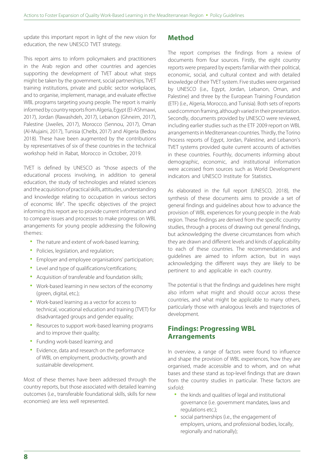update this important report in light of the new vision for education, the new UNESCO TVET strategy.

This report aims to inform policymakers and practitioners in the Arab region and other countries and agencies supporting the development of TVET about what steps might be taken by the government, social partnerships, TVET training institutions, private and public sector workplaces, and to organise, implement, manage, and evaluate effective WBL programs targeting young people. The report is mainly informed by country reports from Algeria, Egypt (El-AShmawi, 2017), Jordan (Rawashdeh, 2017), Lebanon (Ghneim, 2017), Palestine (Jweiles, 2017), Morocco (Sennou, 2017), Oman (Al-Mujaini, 2017), Tunisia (Chelbi, 2017) and Algeria (Bedou 2018). These have been augmented by the contributions by representatives of six of these countries in the technical workshop held in Rabat, Morocco in October, 2019.

TVET is defined by UNESCO as "those aspects of the educational process involving, in addition to general education, the study of technologies and related sciences and the acquisition of practical skills, attitudes, understanding and knowledge relating to occupation in various sectors of economic life". The specific objectives of the project informing this report are to provide current information and to compare issues and processes to make progress on WBL arrangements for young people addressing the following themes:

- The nature and extent of work-based learning;
- Policies, legislation, and regulation;
- Employer and employee organisations' participation;
- Level and type of qualifications/certifications;
- Acquisition of transferable and foundation skills;
- Work-based learning in new sectors of the economy (green, digital, etc.);
- Work-based learning as a vector for access to technical, vocational education and training (TVET) for disadvantaged groups and gender equality;
- Resources to support work-based learning programs and to improve their quality;
- Funding work-based learning; and
- Evidence, data and research on the performance of WBL on employment, productivity, growth and sustainable development.

Most of these themes have been addressed through the country reports, but those associated with detailed learning outcomes (i.e., transferable foundational skills, skills for new economies) are less well represented.

#### **Method**

The report comprises the findings from a review of documents from four sources. Firstly, the eight country reports were prepared by experts familiar with their political, economic, social, and cultural context and with detailed knowledge of their TVET system. Five studies were organised by UNESCO (i.e., Egypt, Jordan, Lebanon, Oman, and Palestine) and three by the European Training Foundation (ETF) (i.e., Algeria, Morocco, and Tunisia). Both sets of reports used common framing, although varied in their presentation. Secondly, documents provided by UNESCO were reviewed, including earlier studies such as the ETF 2009 report on WBL arrangements in Mediterranean countries. Thirdly, the Torino Process reports of Egypt, Jordan, Palestine, and Lebanon's TVET systems provided quite current accounts of activities in these countries. Fourthly, documents informing about demographic, economic, and institutional information were accessed from sources such as World Development indicators and UNESCO Institute for Statistics.

As elaborated in the full report (UNESCO, 2018), the synthesis of these documents aims to provide a set of general findings and guidelines about how to advance the provision of WBL experiences for young people in the Arab region. These findings are derived from the specific country studies, through a process of drawing out general findings, but acknowledging the diverse circumstances from which they are drawn and different levels and kinds of applicability to each of these countries. The recommendations and guidelines are aimed to inform action, but in ways acknowledging the different ways they are likely to be pertinent to and applicable in each country.

The potential is that the findings and guidelines here might also inform what might and should occur across these countries, and what might be applicable to many others, particularly those with analogous levels and trajectories of development.

## **Findings: Progressing WBL Arrangements**

In overview, a range of factors were found to influence and shape the provision of WBL experiences, how they are organised, made accessible and to whom, and on what bases and these stand as top-level findings that are drawn from the country studies in particular. These factors are sixfold:

- the kinds and qualities of legal and institutional governance (i.e. government mandates, laws and regulations etc.);
- social partnerships (i.e., the engagement of employers, unions, and professional bodies, locally, regionally and nationally);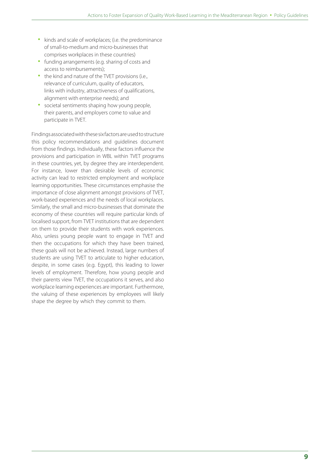- kinds and scale of workplaces; (i.e. the predominance of small-to-medium and micro-businesses that comprises workplaces in these countries)
- funding arrangements (e.g. sharing of costs and access to reimbursements);
- the kind and nature of the TVET provisions (i.e., relevance of curriculum, quality of educators, links with industry, attractiveness of qualifications, alignment with enterprise needs); and
- societal sentiments shaping how young people, their parents, and employers come to value and participate in TVET.

Findings associated with these six factors are used to structure this policy recommendations and guidelines document from those findings. Individually, these factors influence the provisions and participation in WBL within TVET programs in these countries, yet, by degree they are interdependent. For instance, lower than desirable levels of economic activity can lead to restricted employment and workplace learning opportunities. These circumstances emphasise the importance of close alignment amongst provisions of TVET, work-based experiences and the needs of local workplaces. Similarly, the small and micro-businesses that dominate the economy of these countries will require particular kinds of localised support, from TVET institutions that are dependent on them to provide their students with work experiences. Also, unless young people want to engage in TVET and then the occupations for which they have been trained, these goals will not be achieved. Instead, large numbers of students are using TVET to articulate to higher education, despite, in some cases (e.g. Egypt), this leading to lower levels of employment. Therefore, how young people and their parents view TVET, the occupations it serves, and also workplace learning experiences are important. Furthermore, the valuing of these experiences by employees will likely shape the degree by which they commit to them.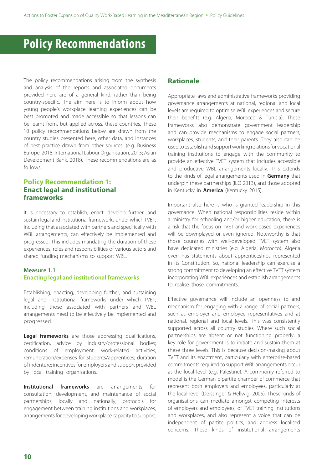## **Policy Recommendations**

The policy recommendations arising from the synthesis and analysis of the reports and associated documents provided here are of a general kind, rather than being country-specific. The aim here is to inform about how young people's workplace learning experiences can be best promoted and made accessible so that lessons can be learnt from, but applied across, these countries. These 10 policy recommendations below are drawn from the country studies presented here, other data, and instances of best practice drawn from other sources, (e.g. Business Europe, 2018; International Labour Organisation, 2015; Asian Development Bank, 2018). These recommendations are as follows:

## **Policy Recommendation 1: Enact legal and institutional frameworks**

It is necessary to establish, enact, develop further, and sustain legal and institutional frameworks under which TVET, including that associated with partners and specifically with WBL arrangements, can effectively be implemented and progressed. This includes mandating the duration of these experiences, roles and responsibilities of various actors and shared funding mechanisms to support WBL.

#### **Measure 1.1 Enacting legal and institutional frameworks**

Establishing, enacting, developing further, and sustaining legal and institutional frameworks under which TVET, including those associated with partners and WBL arrangements need to be effectively be implemented and progressed.

**Legal frameworks** are those addressing qualifications, certification, advice by industry/professional bodies; conditions of employment; work-related activities; remuneration/expenses for students/apprentices; duration of indenture; incentives for employers and support provided by local training organisations.

**Institutional frameworks** are arrangements for consultation, development, and maintenance of social partnerships, locally and nationally; protocols for engagement between training institutions and workplaces; arrangements for developing workplace capacity to support.

## **Rationale**

Appropriate laws and administrative frameworks providing governance arrangements at national, regional and local levels are required to optimise WBL experiences and secure their benefits (e.g. Algeria, Morocco & Tunisia). These frameworks also demonstrate government leadership and can provide mechanisms to engage social partners, workplaces, students, and their parents. They also can be used to establish and support working relations for vocational training institutions to engage with the community to provide an effective TVET system that includes accessible and productive WBL arrangements locally. This extends to the kinds of legal arrangements used in **Germany** that underpin these partnerships (ILO 2013), and those adopted in Kentucky in **America** (Kentucky 2015).

Important also here is who is granted leadership in this governance. When national responsibilities reside within a ministry for schooling and/or higher education, there is a risk that the focus on TVET and work-based experiences will be downplayed or even ignored. Noteworthy is that those countries with well-developed TVET system also have dedicated ministries (e.g. Algeria, Morocco). Algeria even has statements about apprenticeships represented in its Constitution. So, national leadership can exercise a strong commitment to developing an effective TVET system incorporating WBL experiences and establish arrangements to realise those commitments.

Effective governance will include an openness to and mechanism for engaging with a range of social partners, such as employer and employee representatives and at national, regional and local levels. This was consistently supported across all country studies. Where such social partnerships are absent or not functioning properly, a key role for government is to initiate and sustain them at these three levels. This is because decision-making about TVET and its enactment, particularly with enterprise-based commitments required to support WBL arrangements occur at the local level (e.g. Palestine). A commonly referred to model is the German bipartite chamber of commerce that represent both employers and employees, particularly at the local level (Deissinger & Hellwig, 2005). These kinds of organisations can mediate amongst competing interests of employers and employees, of TVET training institutions and workplaces, and also represent a voice that can be independent of partite politics, and address localised concerns. These kinds of institutional arrangements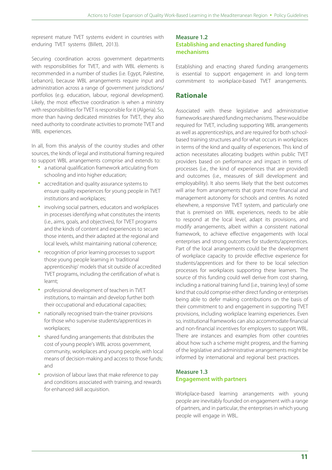represent mature TVET systems evident in countries with enduring TVET systems (Billett, 2013).

Securing coordination across government departments with responsibilities for TVET, and with WBL elements is recommended in a number of studies (i.e. Egypt, Palestine, Lebanon), because WBL arrangements require input and administration across a range of government jurisdictions/ portfolios (e.g. education, labour, regional development). Likely, the most effective coordination is when a ministry with responsibilities for TVET is responsible for it (Algeria). So, more than having dedicated ministries for TVET, they also need authority to coordinate activities to promote TVET and WBL experiences.

In all, from this analysis of the country studies and other sources, the kinds of legal and institutional framing required to support WBL arrangements comprise and extends to:

- a national qualification framework articulating from schooling and into higher education;
- accreditation and quality assurance systems to ensure quality experiences for young people in TVET institutions and workplaces;
- involving social partners, educators and workplaces in processes identifying what constitutes the intents (i.e., aims, goals, and objectives), for TVET programs and the kinds of content and experiences to secure those intents, and their adapted at the regional and local levels, whilst maintaining national coherence;
- recognition of prior learning processes to support those young people learning in 'traditional apprenticeship' models that sit outside of accredited TVET programs, including the certification of what is learnt;
- professional development of teachers in TVET institutions, to maintain and develop further both their occupational and educational capacities;
- nationally recognised train-the-trainer provisions for those who supervise students/apprentices in workplaces;
- shared funding arrangements that distributes the cost of young people's WBL across government, community, workplaces and young people, with local means of decision-making and access to those funds; and
- provision of labour laws that make reference to pay and conditions associated with training, and rewards for enhanced skill acquisition.

## **Measure 1.2**

#### **Establishing and enacting shared funding mechanisms**

Establishing and enacting shared funding arrangements is essential to support engagement in and long-term commitment to workplace-based TVET arrangements.

## **Rationale**

Associated with these legislative and administrative frameworks are shared funding mechanisms. These would be required for TVET, including supporting WBL arrangements as well as apprenticeships, and are required for both schoolbased training structures and for what occurs in workplaces in terms of the kind and quality of experiences. This kind of action necessitates allocating budgets within public TVET providers based on performance and impact in terms of processes (i.e., the kind of experiences that are provided) and outcomes (i.e., measures of skill development and employability). It also seems likely that the best outcomes will arise from arrangements that grant more financial and management autonomy for schools and centres. As noted elsewhere, a responsive TVET system, and particularly one that is premised on WBL experiences, needs to be able to respond at the local level, adapt its provisions, and modify arrangements, albeit within a consistent national framework, to achieve effective engagements with local enterprises and strong outcomes for students/apprentices. Part of the local arrangements could be the development of workplace capacity to provide effective experience for students/apprentices and for there to be local selection processes for workplaces supporting these learners. The source of this funding could well derive from cost sharing, including a national training fund (i.e., training levy) of some kind that could comprise either direct funding or enterprises being able to defer making contributions on the basis of their commitment to and engagement in supporting TVET provisions, including workplace learning experiences. Even so, institutional frameworks can also accommodate financial and non-financial incentives for employers to support WBL. There are instances and examples from other countries about how such a scheme might progress, and the framing of the legislative and administrative arrangements might be informed by international and regional best practices.

#### **Measure 1.3 Engagement with partners**

Workplace-based learning arrangements with young people are inevitably founded on engagement with a range of partners, and in particular, the enterprises in which young people will engage in WBL.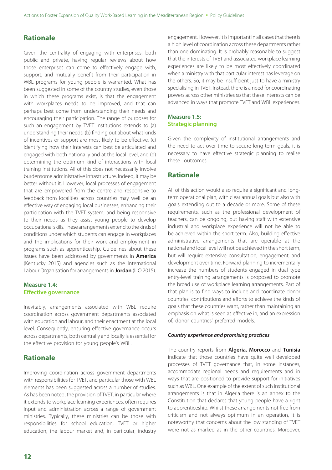## **Rationale**

Given the centrality of engaging with enterprises, both public and private, having regular reviews about how those enterprises can come to effectively engage with, support, and mutually benefit from their participation in WBL programs for young people is warranted. What has been suggested in some of the country studies, even those in which these programs exist, is that the engagement with workplaces needs to be improved, and that can perhaps best come from understanding their needs and encouraging their participation. The range of purposes for such an engagement by TVET institutions extends to (a) understanding their needs, (b) finding out about what kinds of incentives or support are most likely to be effective, (c) identifying how their interests can best be articulated and engaged with both nationally and at the local level, and (d) determining the optimum kind of interactions with local training institutions. All of this does not necessarily involve burdensome administrative infrastructure. Indeed, it may be better without it. However, local processes of engagement that are empowered from the centre and responsive to feedback from localities across countries may well be an effective way of engaging local businesses, enhancing their participation with the TVET system, and being responsive to their needs as they assist young people to develop occupational skills. These arrangements extend to the kinds of conditions under which students can engage in workplaces and the implications for their work and employment in programs such as apprenticeship. Guidelines about these issues have been addressed by governments in **America** (Kentucky 2015) and agencies such as the International Labour Organisation for arrangements in **Jordan** (ILO 2015).

#### **Measure 1.4: Effective governance**

Inevitably, arrangements associated with WBL require coordination across government departments associated with education and labour, and their enactment at the local level. Consequently, ensuring effective governance occurs across departments, both centrally and locally is essential for the effective provision for young people's WBL.

## **Rationale**

Improving coordination across government departments with responsibilities for TVET, and particular those with WBL elements has been suggested across a number of studies. As has been noted, the provision of TVET, in particular where it extends to workplace learning experiences, often requires input and administration across a range of government ministries. Typically, these ministries can be those with responsibilities for school education, TVET or higher education, the labour market and, in particular, industry engagement. However, it is important in all cases that there is a high level of coordination across these departments rather than one dominating. It is probably reasonable to suggest that the interests of TVET and associated workplace learning experiences are likely to be most effectively coordinated when a ministry with that particular interest has leverage on the others. So, it may be insufficient just to have a ministry specialising in TVET. Instead, there is a need for coordinating powers across other ministries so that these interests can be advanced in ways that promote TVET and WBL experiences.

### **Measure 1.5: Strategic planning**

Given the complexity of institutional arrangements and the need to act over time to secure long-term goals, it is necessary to have effective strategic planning to realise these outcomes.

## **Rationale**

All of this action would also require a significant and longterm operational plan, with clear annual goals but also with goals extending out to a decade or more. Some of these requirements, such as the professional development of teachers, can be ongoing, but having staff with extensive industrial and workplace experience will not be able to be achieved within the short term. Also, building effective administrative arrangements that are operable at the national and local level will not be achieved in the short term, but will require extensive consultation, engagement, and development over time. Forward planning to incrementally increase the numbers of students engaged in dual type entry-level training arrangements is proposed to promote the broad use of workplace learning arrangements. Part of that plan is to find ways to include and coordinate donor countries' contributions and efforts to achieve the kinds of goals that these countries want, rather than maintaining an emphasis on what is seen as effective in, and an expression of, donor countries' preferred models.

#### *Country experience and promising practices*

The country reports from **Algeria, Morocco** and **Tunisia** indicate that those countries have quite well developed processes of TVET governance that, in some instances, accommodate regional needs and requirements and in ways that are positioned to provide support for initiatives such as WBL. One example of the extent of such institutional arrangements is that in Algeria there is an annex to the Constitution that declares that young people have a right to apprenticeship. Whilst these arrangements not free from criticism and not always optimum in an operation, it is noteworthy that concerns about the low standing of TVET were not as marked as in the other countries. Moreover,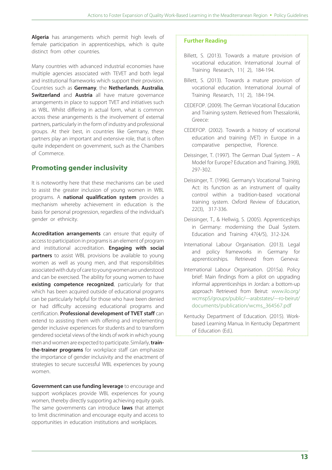**Algeria** has arrangements which permit high levels of female participation in apprenticeships, which is quite distinct from other countries.

Many countries with advanced industrial economies have multiple agencies associated with TEVET and both legal and institutional frameworks which support their provision. Countries such as **Germany**, the **Netherlands**, **Australia**, **Switzerland** and **Austria** all have mature governance arrangements in place to support TVET and initiatives such as WBL. Whilst differing in actual form, what is common across these arrangements is the involvement of external partners, particularly in the form of industry and professional groups. At their best, in countries like Germany, these partners play an important and extensive role, that is often quite independent on government, such as the Chambers of Commerce.

## **Promoting gender inclusivity**

It is noteworthy here that these mechanisms can be used to assist the greater inclusion of young women in WBL programs. A **national qualification system** provides a mechanism whereby achievement in education is the basis for personal progression, regardless of the individual's gender or ethnicity.

**Accreditation arrangements** can ensure that equity of access to participation in programs is an element of program and institutional accreditation. **Engaging with social partners** to assist WBL provisions be available to young women as well as young men, and that responsibilities associated with duty of care to young women are understood and can be exercised. The ability for young women to have **existing competence recognized**, particularly for that which has been acquired outside of educational programs can be particularly helpful for those who have been denied or had difficulty accessing educational programs and certification. **Professional development of TVET staff** can extend to assisting them with offering and implementing gender inclusive experiences for students and to transform gendered societal views of the kinds of work in which young men and women are expected to participate. Similarly, **trainthe-trainer programs** for workplace staff can emphasize the importance of gender inclusivity and the enactment of strategies to secure successful WBL experiences by young women.

**Government can use funding leverage** to encourage and support workplaces provide WBL experiences for young women, thereby directly supporting achieving equity goals. The same governments can introduce **laws** that attempt to limit discrimination and encourage equity and access to opportunities in education institutions and workplaces.

- Billett, S. (2013). Towards a mature provision of vocational education. International Journal of Training Research, 11( 2), 184-194.
- Billett, S. (2013). Towards a mature provision of vocational education. International Journal of Training Research, 11( 2), 184-194.
- CEDEFOP. (2009). The German Vocational Education and Training system. Retrieved from Thessalonki, Greece:
- CEDEFOP. (2002). Towards a history of vocational education and training (VET) in Europe in a comparative perspective, Florence.
- Deissinger, T. (1997). The German Dual System A Model for Europe? Education and Training, 39(8), 297-302.
- Deissinger, T. (1996). Germany's Vocational Training Act: its function as an instrument of quality control within a tradition-based vocational training system. Oxford Review of Education, 22(3), 317-336.
- Deissinger, T., & Hellwig, S. (2005). Apprenticeships in Germany: modernising the Dual System. Education and Training 47(4/5), 312-324.
- International Labour Organisation. (2013). Legal and policy frameworks in Germany for apprenticeships. Retrieved from Geneva:
- International Labour Organisation. (2015a). Policy brief: Main findings from a pilot on upgrading informal apprenticeships in Jordan: a bottom-up approach Retrieved from Beirut: www.ilo.org/ wcmsp5/groups/public/---arabstates/---ro-beirut/ documents/publication/wcms\_364567.pdf
- Kentucky Department of Education. (2015). Workbased Learning Manua. In Kentucky Department of Education (Ed.).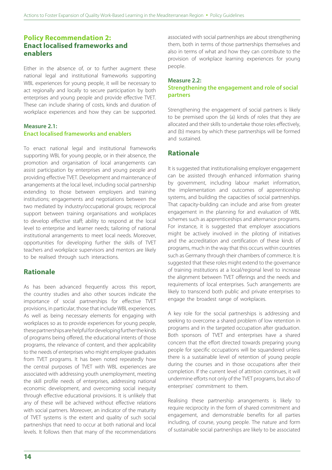## **Policy Recommendation 2: Enact localised frameworks and enablers**

Either in the absence of, or to further augment these national legal and institutional frameworks supporting WBL experiences for young people, it will be necessary to act regionally and locally to secure participation by both enterprises and young people and provide effective TVET. These can include sharing of costs, kinds and duration of workplace experiences and how they can be supported.

#### **Measure 2.1: Enact localised frameworks and enablers**

To enact national legal and institutional frameworks supporting WBL for young people, or in their absence, the promotion and organisation of local arrangements can assist participation by enterprises and young people and providing effective TVET. Development and maintenance of arrangements at the local level, including social partnership extending to those between employers and training institutions; engagements and negotiations between the two mediated by industry/occupational groups; reciprocal support between training organisations and workplaces to develop effective staff; ability to respond at the local level to enterprise and learner needs; tailoring of national institutional arrangements to meet local needs. Moreover, opportunities for developing further the skills of TVET teachers and workplace supervisors and mentors are likely to be realised through such interactions.

## **Rationale**

As has been advanced frequently across this report, the country studies and also other sources indicate the importance of social partnerships for effective TVET provisions, in particular, those that include WBL experiences. As well as being necessary elements for engaging with workplaces so as to provide experiences for young people, these partnerships are helpful for developing further the kinds of programs being offered, the educational intents of those programs, the relevance of content, and their applicability to the needs of enterprises who might employee graduates from TVET programs. It has been noted repeatedly how the central purposes of TVET with WBL experiences are associated with addressing youth unemployment, meeting the skill profile needs of enterprises, addressing national economic development, and overcoming social inequity through effective educational provisions. It is unlikely that any of these will be achieved without effective relations with social partners. Moreover, an indicator of the maturity of TVET systems is the extent and quality of such social partnerships that need to occur at both national and local levels. It follows then that many of the recommendations associated with social partnerships are about strengthening them, both in terms of those partnerships themselves and also in terms of what and how they can contribute to the provision of workplace learning experiences for young people.

#### **Measure 2.2: Strengthening the engagement and role of social partners**

Strengthening the engagement of social partners is likely to be premised upon the (a) kinds of roles that they are allocated and their skills to undertake those roles effectively, and (b) means by which these partnerships will be formed and sustained.

## **Rationale**

It is suggested that institutionalising employer engagement can be assisted through enhanced information sharing by government, including labour market information, the implementation and outcomes of apprenticeship systems, and building the capacities of social partnerships. That capacity-building can include and arise from greater engagement in the planning for and evaluation of WBL schemes such as apprenticeships and alternance programs. For instance, it is suggested that employer associations might be actively involved in the piloting of initiatives and the accreditation and certification of these kinds of programs, much in the way that this occurs within countries such as Germany through their chambers of commerce. It is suggested that these roles might extend to the governance of training institutions at a local/regional level to increase the alignment between TVET offerings and the needs and requirements of local enterprises. Such arrangements are likely to transcend both public and private enterprises to engage the broadest range of workplaces.

A key role for the social partnerships is addressing and seeking to overcome a shared problem of low retention in programs and in the targeted occupation after graduation. Both sponsors of TVET and enterprises have a shared concern that the effort directed towards preparing young people for specific occupations will be squandered unless there is a sustainable level of retention of young people during the courses and in those occupations after their completion. If the current level of attrition continues, it will undermine efforts not only of the TVET programs, but also of enterprises' commitment to them.

Realising these partnership arrangements is likely to require reciprocity in the form of shared commitment and engagement, and demonstrable benefits for all parties including, of course, young people. The nature and form of sustainable social partnerships are likely to be associated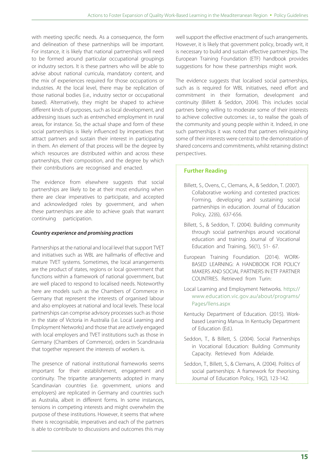with meeting specific needs. As a consequence, the form and delineation of these partnerships will be important. For instance, it is likely that national partnerships will need to be formed around particular occupational groupings or industry sectors. It is these partners who will be able to advise about national curricula, mandatory content, and the mix of experiences required for those occupations or industries. At the local level, there may be replication of those national bodies (i.e., industry sector or occupational based). Alternatively, they might be shaped to achieve different kinds of purposes, such as local development, and addressing issues such as entrenched employment in rural areas, for instance. So, the actual shape and form of these social partnerships is likely influenced by imperatives that attract partners and sustain their interest in participating in them. An element of that process will be the degree by which resources are distributed within and across these partnerships, their composition, and the degree by which their contributions are recognised and enacted.

The evidence from elsewhere suggests that social partnerships are likely to be at their most enduring when there are clear imperatives to participate, and accepted and acknowledged roles by government, and when these partnerships are able to achieve goals that warrant continuing participation.

#### *Country experience and promising practices*

Partnerships at the national and local level that support TVET and initiatives such as WBL are hallmarks of effective and mature TVET systems. Sometimes, the local arrangements are the product of states, regions or local government that functions within a framework of national government, but are well placed to respond to localised needs. Noteworthy here are models such as the Chambers of Commerce in Germany that represent the interests of organised labour and also employees at national and local levels. These local partnerships can comprise advisory processes such as those in the state of Victoria in Australia (i.e. Local Learning and Employment Networks) and those that are actively engaged with local employers and TVET institutions such as those in Germany (Chambers of Commerce), orders in Scandinavia that together represent the interests of workers is.

The presence of national institutional frameworks seems important for their establishment, engagement and continuity. The tripartite arrangements adopted in many Scandinavian countries (i.e. government, unions and employers) are replicated in Germany and countries such as Australia, albeit in different forms. In some instances, tensions in competing interests and might overwhelm the purpose of these institutions. However, it seems that where there is recognisable, imperatives and each of the partners is able to contribute to discussions and outcomes this may well support the effective enactment of such arrangements. However, it is likely that government policy, broadly writ, it is necessary to build and sustain effective partnerships. The European Training Foundation (ETF) handbook provides suggestions for how these partnerships might work.

The evidence suggests that localised social partnerships, such as is required for WBL initiatives, need effort and commitment in their formation, development and continuity (Billett & Seddon, 2004). This includes social partners being willing to moderate some of their interests to achieve collective outcomes: i.e., to realise the goals of the community and young people within it. Indeed, in one such partnerships it was noted that partners relinquishing some of their interests were central to the demonstration of shared concerns and commitments, whilst retaining distinct perspectives.

- Billett, S., Ovens, C., Clemans, A., & Seddon, T. (2007). Collaborative working and contested practices: Forming, developing and sustaining social partnerships in education. Journal of Education Policy, 22(6), 637-656.
- Billett, S., & Seddon, T. (2004). Building community through social partnerships around vocational education and training. Journal of Vocational Education and Training, 56(1), 51- 67.
- European Training Foundation. (2014). WORK-BASED LEARNING: A HANDBOOK FOR POLICY MAKERS AND SOCIAL PARTNERS IN ETF PARTNER COUNTRIES. Retrieved from Turin:
- Local Learning and Employment Networks. https:// www.education.vic.gov.au/about/programs/ Pages/llens.aspx
- Kentucky Department of Education. (2015). Workbased Learning Manua. In Kentucky Department of Education (Ed.).
- Seddon, T., & Billett, S. (2004). Social Partnerships in Vocational Education: Building Community Capacity. Retrieved from Adelaide.
- Seddon, T., Billett, S., & Clemans, A. (2004). Politics of social partnerships: A framework for theorising. Journal of Education Policy, 19(2), 123-142.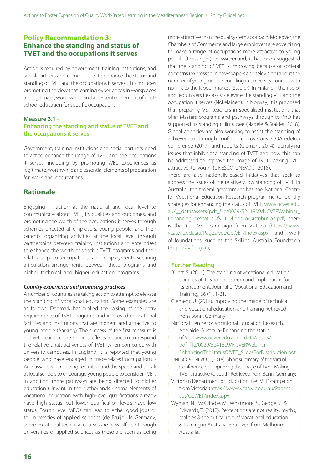## **Policy Recommendation 3: Enhance the standing and status of TVET and the occupations it serves**

Action is required by government, training institutions, and social partners and communities to enhance the status and standing of TVET and the occupations it serves. This includes promoting the view that learning experiences in workplaces are legitimate, worthwhile, and an essential element of postschool education for specific occupations.

## **Measure 3.1 -**

#### **Enhancing the standing and status of TVET and the occupations it serves**

Government, training institutions and social partners need to act to enhance the image of TVET and the occupations it serves, including by promoting WBL experiences as legitimate, worthwhile and essential elements of preparation for work and occupations.

## **Rationale**

Engaging in action at the national and local level to communicate about TVET, its qualities and outcomes, and promoting the worth of the occupations it serves through schemes directed at employers, young people, and their parents; organizing activities at the local level through partnerships between training institutions and enterprises to enhance the worth of specific TVET programs and their relationship to occupations and employment; securing articulation arrangements between these programs and higher technical and higher education programs.

#### *Country experience and promising practices*

A number of countries are taking action to attempt to elevate the standing of vocational education. Some examples are as follows. Denmark has trialled the raising of the entry requirements of TVET programs and improved educational facilities and institutions that are modern and attractive to young people (Aarkrog). The success of the first measure is not yet clear, but the second reflects a concern to respond the relative unattractiveness of TVET, when compared with university campuses. In England, it is reported that young people who have engaged in trade-related occupations - Ambassadors - are being recruited and the speed and speak at local schools to encourage young people to consider TVET. In addition, more pathways are being directed to higher education (Unwin). In the Netherlands - some elements of vocational education with high-level qualifications already have high status, but lower qualification levels have low status. Fourth level MBOs can lead to either good jobs or to universities of applied sciences (de Bruijn). In Germany, some vocational technical courses are now offered through universities of applied sciences as these are seen as being

more attractive than the dual system approach. Moreover, the Chambers of Commerce and large employers are advertising to make a range of occupations more attractive to young people (Deissinger). In Switzerland, it has been suggested that the standing of VET is improving because of societal concerns (expressed in newspapers and television) about the number of young people enrolling in university courses with no link to the labour market (Stadler). In Finland - the rise of applied universities assists elevate the standing VET and the occupation it serves (Nokelainen). In Norway, it is proposed that preparing VET teachers in specialised institutions that offer Masters programs and pathways through to PhD has supported its standing (Hiim). (see (Nägele & Stalder, 2018). Global agencies are also working to assist the standing of achievement through conference provisions BiBB/Cedefop conference (2017), and reports (Clement 2014) identifying issues that inhibit the standing of TVET and how this can be addressed to improve the image of TVET: Making TVET attractive to youth (UNESCO-UNEVOC, 2018).

There are also nationally-based initiatives that seek to address the issues of the relatively low standing of TVET. In Australia, the federal government has the National Centre for Vocational Education Research programme to identify strategies for enhancing the status of TVET. www.ncver.edu. au/ data/assets/pdf\_file/0029/5241809/NCVERWebinar EnhancingTheStatusOfVET\_SlidesForDistribution.pdf, there is the 'Get VET' campaign from Victoria (https://www. vcaa.vic.edu.au/Pages/vet/GetVET/index.aspx and work of foundations, such as the Skilling Australia Foundation (https://saf.org.au).

#### **Further Reading**

Billett, S. (2014). The standing of vocational education: Sources of its societal esteem and implications for its enactment. Journal of Vocational Education and Training,, 66 (1), 1-21.

- Clement, U. (2014). Improving the image of technical and vocational education and training Retrieved from Bonn, Germany:
- National Centre for Vocational Education Research, Adelaide, Australia- Enhancing the status of VET. www.ncver.edu.au/\_\_data/assets/ pdf\_file/0029/5241809/NCVERWebinar\_
- EnhancingTheStatusOfVET\_SlidesForDistribution.pdf UNESCO-UNEVOC. (2018). Short summary of the Virtual Conference on improving the image of TVET: Making
- TVET attractive to youth. Retrieved from Bonn, Germany: Victorian Department of Education, Get VET' campaign from Victoria (https://www.vcaa.vic.edu.au/Pages/ vet/GetVET/index.aspx
- Wyman, N., McCrindle, M., Whatmore, S., Gedge, J., & Edwards, T. (2017). Perceptions are not reality: myths, realities & the critical role of vocational education & training in Australia. Retrieved from Melbourne, Australia:.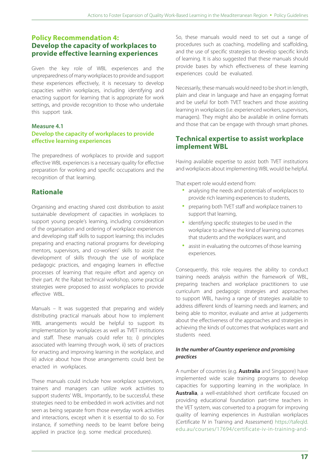## **Policy Recommendation 4: Develop the capacity of workplaces to provide effective learning experiences**

Given the key role of WBL experiences and the unpreparedness of many workplaces to provide and support these experiences effectively, it is necessary to develop capacities within workplaces, including identifying and enacting support for learning that is appropriate for work settings, and provide recognition to those who undertake this support task.

#### **Measure 4.1**

### **Develop the capacity of workplaces to provide effective learning experiences**

The preparedness of workplaces to provide and support effective WBL experiences is a necessary quality for effective preparation for working and specific occupations and the recognition of that learning.

## **Rationale**

Organising and enacting shared cost distribution to assist sustainable development of capacities in workplaces to support young people's learning, including consideration of the organisation and ordering of workplace experiences and developing staff skills to support learning; this includes preparing and enacting national programs for developing mentors, supervisors, and co-workers' skills to assist the development of skills through the use of workplace pedagogic practices, and engaging learners in effective processes of learning that require effort and agency on their part. At the Rabat technical workshop, some practical strategies were proposed to assist workplaces to provide effective WBL.

Manuals – It was suggested that preparing and widely distributing practical manuals about how to implement WBL arrangements would be helpful to support its implementation by workplaces as well as TVET institutions and staff. These manuals could refer to; i) principles associated with learning through work, ii) sets of practices for enacting and improving learning in the workplace, and iii) advice about how those arrangements could best be enacted in workplaces.

These manuals could include how workplace supervisors, trainers and managers can utilize work activities to support students' WBL. Importantly, to be successful, these strategies need to be embedded in work activities and not seen as being separate from those everyday work activities and interactions, except when it is essential to do so. For instance, if something needs to be learnt before being applied in practice (e.g. some medical procedures).

So, these manuals would need to set out a range of procedures such as coaching, modelling and scaffolding, and the use of specific strategies to develop specific kinds of learning. It is also suggested that these manuals should provide bases by which effectiveness of these learning experiences could be evaluated.

Necessarily, these manuals would need to be short in length, plain and clear in language and have an engaging format and be useful for both TVET teachers and those assisting learning in workplaces (i.e. experienced workers, supervisors, managers). They might also be available in online formats and those that can be engage with through smart phones.

## **Technical expertise to assist workplace implement WBL**

Having available expertise to assist both TVET institutions and workplaces about implementing WBL would be helpful.

That expert role would extend from:

- analysing the needs and potentials of workplaces to provide rich learning experiences to students,
- preparing both TVET staff and workplace trainers to support that learning,
- identifying specific strategies to be used in the workplace to achieve the kind of learning outcomes that students and the workplaces want, and
- assist in evaluating the outcomes of those learning experiences.

Consequently, this role requires the ability to conduct training needs analysis within the framework of WBL, preparing teachers and workplace practitioners to use curriculum and pedagogic strategies and approaches to support WBL, having a range of strategies available to address different kinds of learning needs and learners; and being able to monitor, evaluate and arrive at judgements about the effectiveness of the approaches and strategies in achieving the kinds of outcomes that workplaces want and students need.

#### *In the number of Country experience and promising practices*

A number of countries (e.g. **Australia** and Singapore) have implemented wide scale training programs to develop capacities for supporting learning in the workplace. In **Australia**, a well-established short certificate focused on providing educational foundation part-time teachers in the VET system, was converted to a program for improving quality of learning experiences in Australian workplaces (Certificate IV in Training and Assessment) https://tafeqld. edu.au/courses/17694/certificate-iv-in-training-and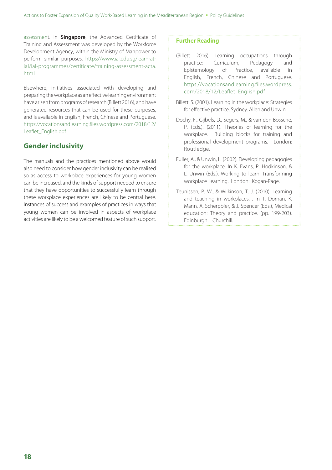assessment. In **Singapore**, the Advanced Certificate of Training and Assessment was developed by the Workforce Development Agency, within the Ministry of Manpower to perform similar purposes. https://www.ial.edu.sg/learn-atial/ial-programmes/certificate/training-assessment-acta. html

Elsewhere, initiatives associated with developing and preparing the workplace as an effective learning environment have arisen from programs of research (Billett 2016), and have generated resources that can be used for these purposes, and is available in English, French, Chinese and Portuguese. https://vocationsandlearning.files.wordpress.com/2018/12/ Leaflet\_English.pdf

## **Gender inclusivity**

The manuals and the practices mentioned above would also need to consider how gender inclusivity can be realised so as access to workplace experiences for young women can be increased, and the kinds of support needed to ensure that they have opportunities to successfully learn through these workplace experiences are likely to be central here. Instances of success and examples of practices in ways that young women can be involved in aspects of workplace activities are likely to be a welcomed feature of such support.

- (Billett 2016) Learning occupations through practice: Curriculum, Pedagogy and Epistemology of Practice, available in English, French, Chinese and Portuguese. https://vocationsandlearning.files.wordpress. com/2018/12/Leaflet\_English.pdf
- Billett, S. (2001). Learning in the workplace: Strategies for effective practice. Sydney: Allen and Unwin.
- Dochy, F., Gijbels, D., Segers, M., & van den Bossche, P. (Eds.). (2011). Theories of learning for the workplace. Building blocks for training and professional development programs. . London: Routledge.
- Fuller, A., & Unwin, L. (2002). Developing pedagogies for the workplace. In K. Evans, P. Hodkinson, & L. Unwin (Eds.), Working to learn: Transforming workplace learning. London: Kogan-Page.
- Teunissen, P. W., & Wilkinson, T. J. (2010). Learning and teaching in workplaces. . In T. Dornan, K. Mann, A. Scherpbier, & J. Spencer (Eds.), Medical education: Theory and practice. (pp. 199-203). Edinburgh: Churchill.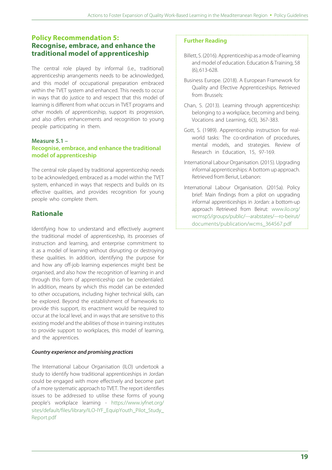## **Policy Recommendation 5: Recognise, embrace, and enhance the traditional model of apprenticeship**

The central role played by informal (i.e., traditional) apprenticeship arrangements needs to be acknowledged, and this model of occupational preparation embraced within the TVET system and enhanced. This needs to occur in ways that do justice to and respect that this model of learning is different from what occurs in TVET programs and other models of apprenticeship, support its progression, and also offers enhancements and recognition to young people participating in them.

#### **Measure 5.1 – Recognise, embrace, and enhance the traditional model of apprenticeship**

The central role played by traditional apprenticeship needs to be acknowledged, embraced as a model within the TVET system, enhanced in ways that respects and builds on its effective qualities, and provides recognition for young people who complete them.

## **Rationale**

Identifying how to understand and effectively augment the traditional model of apprenticeship, its processes of instruction and learning, and enterprise commitment to it as a model of learning without disrupting or destroying these qualities. In addition, identifying the purpose for and how any off-job learning experiences might best be organised, and also how the recognition of learning in and through this form of apprenticeship can be credentialed. In addition, means by which this model can be extended to other occupations, including higher technical skills, can be explored. Beyond the establishment of frameworks to provide this support, its enactment would be required to occur at the local level, and in ways that are sensitive to this existing model and the abilities of those in training institutes to provide support to workplaces, this model of learning, and the apprentices.

#### *Country experience and promising practices*

The International Labour Organisation (ILO) undertook a study to identify how traditional apprenticeships in Jordan could be engaged with more effectively and become part of a more systematic approach to TVET. The report identifies issues to be addressed to utilise these forms of young people's workplace learning - https://www.iyfnet.org/ sites/default/files/library/ILO-IYF\_EquipYouth\_Pilot\_Study Report.pdf

- Billett, S. (2016). Apprenticeship as a mode of learning and model of education. Education & Training, 58 (6), 613-628.
- Business Europe. (2018). A European Framework for Quality and Efective Apprenticeships. Retrieved from Brussels:
- Chan, S. (2013). Learning through apprenticeship: belonging to a workplace, becoming and being. Vocations and Learning, 6(3), 367-383.
- Gott, S. (1989). Apprenticeship instruction for realworld tasks: The co-ordination of procedures, mental models, and strategies. Review of Research in Education, 15, 97-169.
- International Labour Organisation. (2015). Upgrading informal apprenticeships: A bottom up approach. Retrieved from Beriut, Lebanon:
- International Labour Organisation. (2015a). Policy brief: Main findings from a pilot on upgrading informal apprenticeships in Jordan: a bottom-up approach Retrieved from Beirut: www.ilo.org/ wcmsp5/groups/public/---arabstates/---ro-beirut/ documents/publication/wcms\_364567.pdf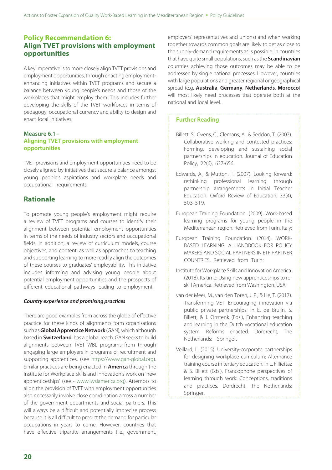## **Policy Recommendation 6: Align TVET provisions with employment opportunities**

A key imperative is to more closely align TVET provisions and employment opportunities, through enacting employmentenhancing initiatives within TVET programs and secure a balance between young people's needs and those of the workplaces that might employ them. This includes further developing the skills of the TVET workforces in terms of pedagogy, occupational currency and ability to design and enact local initiatives.

#### **Measure 6.1 - Aligning TVET provisions with employment opportunities**

TVET provisions and employment opportunities need to be closely aligned by initiatives that secure a balance amongst young people's aspirations and workplace needs and occupational requirements.

## **Rationale**

To promote young people's employment might require a review of TVET programs and courses to identify their alignment between potential employment opportunities in terms of the needs of industry sectors and occupational fields. In addition, a review of curriculum models, course objectives, and content, as well as approaches to teaching and supporting learning to more readily align the outcomes of these courses to graduates' employability. This initiative includes informing and advising young people about potential employment opportunities and the prospects of different educational pathways leading to employment.

#### *Country experience and promising practices*

There are good examples from across the globe of effective practice for these kinds of alignments form organisations such as **Global Apprentice Network** (GAN), which although based in **Switzerland**, has a global reach. GAN seeks to build alignments between TVET WBL programs from through engaging large employers in programs of recruitment and supporting apprentices. (see https://www.gan-global.org). Similar practices are being enacted in **America** through the Institute for Workplace Skills and Innovation's work on 'new apprenticeships' (see - www.iwsiamerica.org). Attempts to align the provision of TVET with employment opportunities also necessarily involve close coordination across a number of the government departments and social partners. This will always be a difficult and potentially imprecise process because it is all difficult to predict the demand for particular occupations in years to come. However, countries that have effective tripartite arrangements (i.e., government,

employers' representatives and unions) and when working together towards common goals are likely to get as close to the supply-demand requirements as is possible. In countries that have quite small populations, such as the **Scandinavian** countries achieving those outcomes may be able to be addressed by single national processes. However, countries with large populations and greater regional or geographical spread (e.g. **Australia**, **Germany**, **Netherlands**, **Morocco**) will most likely need processes that operate both at the national and local level.

- Billett, S., Ovens, C., Clemans, A., & Seddon, T. (2007). Collaborative working and contested practices: Forming, developing and sustaining social partnerships in education. Journal of Education Policy, 22(6), 637-656.
- Edwards, A., & Mutton, T. (2007). Looking forward: rethinking professional learning through partnership arrangements in Initial Teacher Education. Oxford Review of Education, 33(4), 503-519.
- European Training Foundation. (2009). Work-based learning programs for young people in the Mediterranean region. Retrieved from Turin, Italy:
- European Training Foundation. (2014). WORK-BASED LEARNING: A HANDBOOK FOR POLICY MAKERS AND SOCIAL PARTNERS IN ETF PARTNER COUNTRIES. Retrieved from Turin:
- Institute for Workplace Skills and Innovation America. (2018). Its time: Using new apprenticeships to reskill America. Retrieved from Washington, USA:
- van der Meer, M., van den Toren, J. P., & Lie, T. (2017). Transforming VET: Encouraging innovation via public private partnerships. In E. de Bruijn, S. Billett, & J. Onstenk (Eds.), Enhancing teaching and learning in the Dutch vocational education system: Reforms enacted. Dordrecht, The Netherlands: Springer.
- Veillard, L. (2015). University-corporate partnerships for designing workplace curriculum: Alternance training course in tertiary education. In L. Filliettaz & S. Billett (Eds.), Francophone perspectives of learning through work: Conceptions, traditions and practices. Dordrecht, The Netherlands: Springer.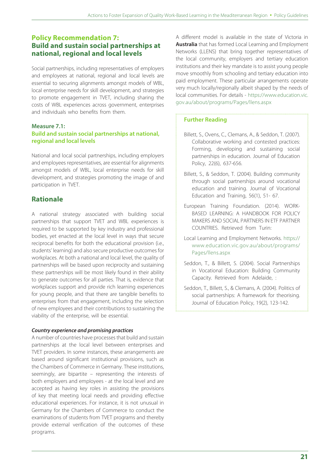## **Policy Recommendation 7: Build and sustain social partnerships at national, regional and local levels**

Social partnerships, including representatives of employers and employees at national, regional and local levels are essential to securing alignments amongst models of WBL, local enterprise needs for skill development, and strategies to promote engagement in TVET, including sharing the costs of WBL experiences across government, enterprises and individuals who benefits from them.

## **Measure 7.1:**

#### **Build and sustain social partnerships at national, regional and local levels**

National and local social partnerships, including employers and employees representatives, are essential for alignments amongst models of WBL, local enterprise needs for skill development, and strategies promoting the image of and participation in TVET.

## **Rationale**

A national strategy associated with building social partnerships that support TVET and WBL experiences is required to be supported by key industry and professional bodies, yet enacted at the local level in ways that secure reciprocal benefits for both the educational provision (i.e., students' learning) and also secure productive outcomes for workplaces. At both a national and local level, the quality of partnerships will be based upon reciprocity and sustaining these partnerships will be most likely found in their ability to generate outcomes for all parties. That is, evidence that workplaces support and provide rich learning experiences for young people, and that there are tangible benefits to enterprises from that engagement, including the selection of new employees and their contributions to sustaining the viability of the enterprise, will be essential.

### *Country experience and promising practices*

A number of countries have processes that build and sustain partnerships at the local level between enterprises and TVET providers. In some instances, these arrangements are based around significant institutional provisions, such as the Chambers of Commerce in Germany. These institutions, seemingly, are bipartite – representing the interests of both employers and employees - at the local level and are accepted as having key roles in assisting the provisions of key that meeting local needs and providing effective educational experiences. For instance, it is not unusual in Germany for the Chambers of Commerce to conduct the examinations of students from TVET programs and thereby provide external verification of the outcomes of these programs.

A different model is available in the state of Victoria in **Australia** that has formed Local Learning and Employment Networks (LLENS) that bring together representatives of the local community, employers and tertiary education institutions and their key mandate is to assist young people move smoothly from schooling and tertiary education into paid employment. These particular arrangements operate very much locally/regionally albeit shaped by the needs of local communities. For details - https://www.education.vic. gov.au/about/programs/Pages/llens.aspx

- Billett, S., Ovens, C., Clemans, A., & Seddon, T. (2007). Collaborative working and contested practices: Forming, developing and sustaining social partnerships in education. Journal of Education Policy, 22(6), 637-656.
- Billett, S., & Seddon, T. (2004). Building community through social partnerships around vocational education and training. Journal of Vocational Education and Training, 56(1), 51- 67.
- European Training Foundation. (2014). WORK-BASED LEARNING: A HANDBOOK FOR POLICY MAKERS AND SOCIAL PARTNERS IN ETF PARTNER COUNTRIES. Retrieved from Turin:
- Local Learning and Employment Networks. https:// www.education.vic.gov.au/about/programs/ Pages/llens.aspx
- Seddon, T., & Billett, S. (2004). Social Partnerships in Vocational Education: Building Community Capacity. Retrieved from Adelaide, :
- Seddon, T., Billett, S., & Clemans, A. (2004). Politics of social partnerships: A framework for theorising. Journal of Education Policy, 19(2), 123-142.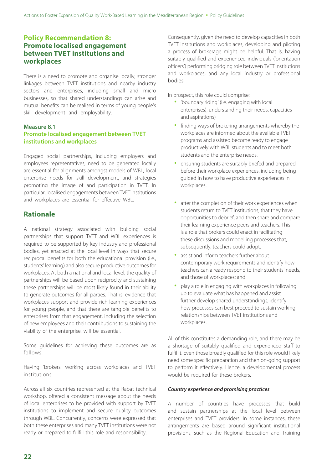## **Policy Recommendation 8: Promote localised engagement between TVET institutions and workplaces**

There is a need to promote and organise locally, stronger linkages between TVET institutions and nearby industry sectors and enterprises, including small and micro businesses, so that shared understandings can arise and mutual benefits can be realised in terms of young people's skill development and employability.

#### **Measure 8.1**

#### **Promote localised engagement between TVET institutions and workplaces**

Engaged social partnerships, including employers and employees representatives, need to be generated locally are essential for alignments amongst models of WBL, local enterprise needs for skill development, and strategies promoting the image of and participation in TVET. In particular, localised engagements between TVET institutions and workplaces are essential for effective WBL.

## **Rationale**

A national strategy associated with building social partnerships that support TVET and WBL experiences is required to be supported by key industry and professional bodies, yet enacted at the local level in ways that secure reciprocal benefits for both the educational provision (i.e., students' learning) and also secure productive outcomes for workplaces. At both a national and local level, the quality of partnerships will be based upon reciprocity and sustaining these partnerships will be most likely found in their ability to generate outcomes for all parties. That is, evidence that workplaces support and provide rich learning experiences for young people, and that there are tangible benefits to enterprises from that engagement, including the selection of new employees and their contributions to sustaining the viability of the enterprise, will be essential.

Some guidelines for achieving these outcomes are as follows.

Having 'brokers' working across workplaces and TVET institutions

Across all six countries represented at the Rabat technical workshop, offered a consistent message about the needs of local enterprises to be provided with support by TVET institutions to implement and secure quality outcomes through WBL. Concurrently, concerns were expressed that both these enterprises and many TVET institutions were not ready or prepared to fulfill this role and responsibility.

Consequently, given the need to develop capacities in both TVET institutions and workplaces, developing and piloting a process of brokerage might be helpful. That is, having suitably qualified and experienced individuals ('orientation officers') performing bridging role between TVET institutions and workplaces, and any local industry or professional bodies.

In prospect, this role could comprise:

- 'boundary riding' (i.e. engaging with local enterprises), understanding their needs, capacities and aspirations)
- finding ways of brokering arrangements whereby the workplaces are informed about the available TVET programs and assisted become ready to engage productively with WBL students and to meet both students and the enterprise needs.
- ensuring students are suitably briefed and prepared before their workplace experiences, including being guided in how to have productive experiences in workplaces.
- after the completion of their work experiences when students return to TVET institutions, that they have opportunities to debrief, and then share and compare their learning experience peers and teachers. This is a role that brokers could enact in facilitating these discussions and modelling processes that, subsequently, teachers could adopt.
- assist and inform teachers further about contemporary work requirements and identify how teachers can already respond to their students' needs, and those of workplaces; and
- play a role in engaging with workplaces in following up to evaluate what has happened and assist further develop shared understandings, identify how processes can best proceed to sustain working relationships between TVET institutions and workplaces.

All of this constitutes a demanding role, and there may be a shortage of suitably qualified and experienced staff to fulfil it. Even those broadly qualified for this role would likely need some specific preparation and then on-going support to perform it effectively. Hence, a developmental process would be required for these brokers.

#### *Country experience and promising practices*

A number of countries have processes that build and sustain partnerships at the local level between enterprises and TVET providers. In some instances, these arrangements are based around significant institutional provisions, such as the Regional Education and Training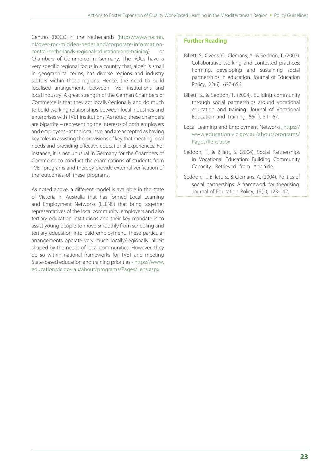Centres (ROCs) in the Netherlands (https://www.rocmn. nl/over-roc-midden-nederland/corporate-informationcentral-netherlands-regional-education-and-training) or Chambers of Commerce in Germany. The ROCs have a very specific regional focus in a country that, albeit is small in geographical terms, has diverse regions and industry sectors within those regions. Hence, the need to build localised arrangements between TVET institutions and local industry. A great strength of the German Chambers of Commerce is that they act locally/regionally and do much to build working relationships between local industries and enterprises with TVET institutions. As noted, these chambers are bipartite – representing the interests of both employers and employees - at the local level and are accepted as having key roles in assisting the provisions of key that meeting local needs and providing effective educational experiences. For instance, it is not unusual in Germany for the Chambers of Commerce to conduct the examinations of students from TVET programs and thereby provide external verification of the outcomes of these programs.

As noted above, a different model is available in the state of Victoria in Australia that has formed Local Learning and Employment Networks (LLENS) that bring together representatives of the local community, employers and also tertiary education institutions and their key mandate is to assist young people to move smoothly from schooling and tertiary education into paid employment. These particular arrangements operate very much locally/regionally, albeit shaped by the needs of local communities. However, they do so within national frameworks for TVET and meeting State-based education and training priorities - https://www. education.vic.gov.au/about/programs/Pages/llens.aspx.

- Billett, S., Ovens, C., Clemans, A., & Seddon, T. (2007). Collaborative working and contested practices: Forming, developing and sustaining social partnerships in education. Journal of Education Policy, 22(6), 637-656.
- Billett, S., & Seddon, T. (2004). Building community through social partnerships around vocational education and training. Journal of Vocational Education and Training, 56(1), 51- 67.
- Local Learning and Employment Networks. https:// www.education.vic.gov.au/about/programs/ Pages/llens.aspx
- Seddon, T., & Billett, S. (2004). Social Partnerships in Vocational Education: Building Community Capacity. Retrieved from Adelaide.
- Seddon, T., Billett, S., & Clemans, A. (2004). Politics of social partnerships: A framework for theorising. Journal of Education Policy, 19(2), 123-142.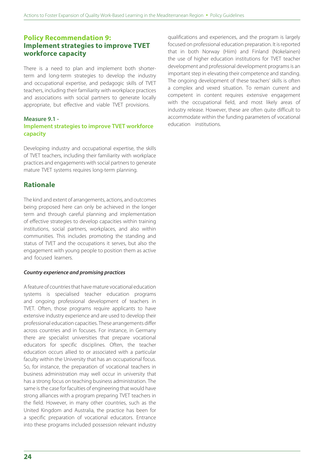## **Policy Recommendation 9: Implement strategies to improve TVET workforce capacity**

There is a need to plan and implement both shorterterm and long-term strategies to develop the industry and occupational expertise, and pedagogic skills of TVET teachers, including their familiarity with workplace practices and associations with social partners to generate locally appropriate, but effective and viable TVET provisions.

#### **Measure 9.1 -**

### **Implement strategies to improve TVET workforce capacity**

Developing industry and occupational expertise, the skills of TVET teachers, including their familiarity with workplace practices and engagements with social partners to generate mature TVET systems requires long-term planning.

## **Rationale**

The kind and extent of arrangements, actions, and outcomes being proposed here can only be achieved in the longer term and through careful planning and implementation of effective strategies to develop capacities within training institutions, social partners, workplaces, and also within communities. This includes promoting the standing and status of TVET and the occupations it serves, but also the engagement with young people to position them as active and focused learners.

#### *Country experience and promising practices*

A feature of countries that have mature vocational education systems is specialised teacher education programs and ongoing professional development of teachers in TVET. Often, those programs require applicants to have extensive industry experience and are used to develop their professional education capacities. These arrangements differ across countries and in focuses. For instance, in Germany there are specialist universities that prepare vocational educators for specific disciplines. Often, the teacher education occurs allied to or associated with a particular faculty within the University that has an occupational focus. So, for instance, the preparation of vocational teachers in business administration may well occur in university that has a strong focus on teaching business administration. The same is the case for faculties of engineering that would have strong alliances with a program preparing TVET teachers in the field. However, in many other countries, such as the United Kingdom and Australia, the practice has been for a specific preparation of vocational educators. Entrance into these programs included possession relevant industry

qualifications and experiences, and the program is largely focused on professional education preparation. It is reported that in both Norway (Hiim) and Finland (Nokelainen) the use of higher education institutions for TVET teacher development and professional development programs is an important step in elevating their competence and standing. The ongoing development of these teachers' skills is often a complex and vexed situation. To remain current and competent in content requires extensive engagement with the occupational field, and most likely areas of industry release. However, these are often quite difficult to accommodate within the funding parameters of vocational education institutions.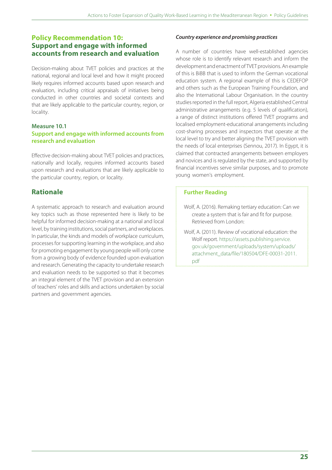### **Policy Recommendation 10: Support and engage with informed accounts from research and evaluation**

Decision-making about TVET policies and practices at the national, regional and local level and how it might proceed likely requires informed accounts based upon research and evaluation, including critical appraisals of initiatives being conducted in other countries and societal contexts and that are likely applicable to the particular country, region, or locality.

#### **Measure 10.1**

#### **Support and engage with informed accounts from research and evaluation**

Effective decision-making about TVET policies and practices, nationally and locally, requires informed accounts based upon research and evaluations that are likely applicable to the particular country, region, or locality.

## **Rationale**

A systematic approach to research and evaluation around key topics such as those represented here is likely to be helpful for informed decision-making at a national and local level, by training institutions, social partners, and workplaces. In particular, the kinds and models of workplace curriculum, processes for supporting learning in the workplace, and also for promoting engagement by young people will only come from a growing body of evidence founded upon evaluation and research. Generating the capacity to undertake research and evaluation needs to be supported so that it becomes an integral element of the TVET provision and an extension of teachers' roles and skills and actions undertaken by social partners and government agencies.

#### *Country experience and promising practices*

A number of countries have well-established agencies whose role is to identify relevant research and inform the development and enactment of TVET provisions. An example of this is BiBB that is used to inform the German vocational education system. A regional example of this is CEDEFOP and others such as the European Training Foundation, and also the International Labour Organisation. In the country studies reported in the full report, Algeria established Central administrative arrangements (e.g. 5 levels of qualification), a range of distinct institutions offered TVET programs and localised employment-educational arrangements including cost-sharing processes and inspectors that operate at the local level to try and better aligning the TVET provision with the needs of local enterprises (Sennou, 2017). In Egypt, it is claimed that contracted arrangements between employers and novices and is regulated by the state, and supported by financial incentives serve similar purposes, and to promote young women's employment.

- Wolf, A. (2016). Remaking tertiary education: Can we create a system that is fair and fit for purpose. Retrieved from London:
- Wolf, A. (2011). Review of vocational education: the Wolf report. https://assets.publishing.service. gov.uk/government/uploads/system/uploads/ attachment\_data/file/180504/DFE-00031-2011. pdf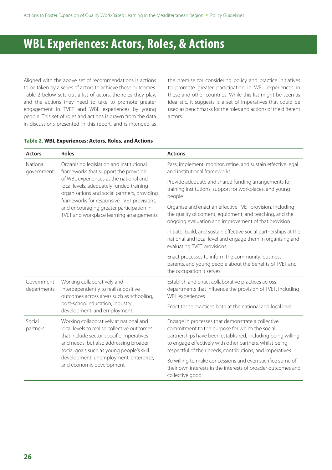## **WBL Experiences: Actors, Roles, & Actions**

Aligned with the above set of recommendations is actions to be taken by a series of actors to achieve these outcomes. Table 2 below sets out a list of actors, the roles they play, and the actions they need to take to promote greater engagement in TVET and WBL experiences by young people. This set of roles and actions is drawn from the data in discussions presented in this report, and is intended as the premise for considering policy and practice initiatives to promote greater participation in WBL experiences in these and other countries. While this list might be seen as idealistic, it suggests is a set of imperatives that could be used as benchmarks for the roles and actions of the different actors.

#### **Table 2. WBL Experiences: Actors, Roles, and Actions**

| <b>Actors</b>             | <b>Roles</b>                                                                                                                                                                                                                                                                                                                                                  | <b>Actions</b>                                                                                                                                                                                                                                                                             |
|---------------------------|---------------------------------------------------------------------------------------------------------------------------------------------------------------------------------------------------------------------------------------------------------------------------------------------------------------------------------------------------------------|--------------------------------------------------------------------------------------------------------------------------------------------------------------------------------------------------------------------------------------------------------------------------------------------|
| National<br>government    | Organising legislation and institutional<br>frameworks that support the provision<br>of WBL experiences at the national and<br>local levels, adequately funded training<br>organisations and social partners, providing<br>frameworks for responsive TVET provisions,<br>and encouraging greater participation in<br>TVET and workplace learning arrangements | Pass, implement, monitor, refine, and sustain effective legal<br>and institutional frameworks                                                                                                                                                                                              |
|                           |                                                                                                                                                                                                                                                                                                                                                               | Provide adequate and shared funding arrangements for<br>training institutions, support for workplaces, and young<br>people                                                                                                                                                                 |
|                           |                                                                                                                                                                                                                                                                                                                                                               | Organise and enact an effective TVET provision, including<br>the quality of content, equipment, and teaching, and the<br>ongoing evaluation and improvement of that provision                                                                                                              |
|                           |                                                                                                                                                                                                                                                                                                                                                               | Initiate, build, and sustain effective social partnerships at the<br>national and local level and engage them in organising and<br>evaluating TVET provisions                                                                                                                              |
|                           |                                                                                                                                                                                                                                                                                                                                                               | Enact processes to inform the community, business,<br>parents, and young people about the benefits of TVET and<br>the occupation it serves                                                                                                                                                 |
| Government<br>departments | Working collaboratively and<br>interdependently to realise positive<br>outcomes across areas such as schooling,<br>post-school education, industry<br>development, and employment                                                                                                                                                                             | Establish and enact collaborative practices across<br>departments that influence the provision of TVET, including<br><b>WBL</b> experiences                                                                                                                                                |
|                           |                                                                                                                                                                                                                                                                                                                                                               | Enact those practices both at the national and local level                                                                                                                                                                                                                                 |
| Social<br>partners        | Working collaboratively at national and<br>local levels to realise collective outcomes<br>that include sector-specific imperatives<br>and needs, but also addressing broader<br>social goals such as young people's skill<br>development, unemployment, enterprise,<br>and economic development                                                               | Engage in processes that demonstrate a collective<br>commitment to the purpose for which the social<br>partnerships have been established, including being willing<br>to engage effectively with other partners, whilst being<br>respectful of their needs, contributions, and imperatives |
|                           |                                                                                                                                                                                                                                                                                                                                                               | Be willing to make concessions and even sacrifice some of<br>their own interests in the interests of broader outcomes and<br>collective good                                                                                                                                               |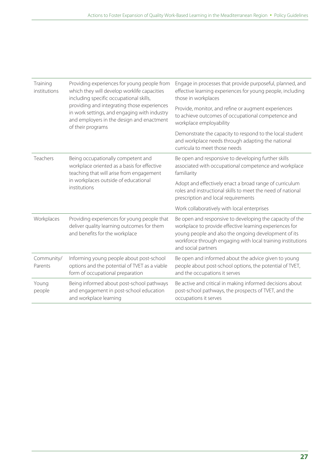| Training<br>institutions | Providing experiences for young people from<br>which they will develop worklife capacities<br>including specific occupational skills,<br>providing and integrating those experiences<br>in work settings, and engaging with industry<br>and employers in the design and enactment<br>of their programs | Engage in processes that provide purposeful, planned, and<br>effective learning experiences for young people, including<br>those in workplaces                                                                                                                    |
|--------------------------|--------------------------------------------------------------------------------------------------------------------------------------------------------------------------------------------------------------------------------------------------------------------------------------------------------|-------------------------------------------------------------------------------------------------------------------------------------------------------------------------------------------------------------------------------------------------------------------|
|                          |                                                                                                                                                                                                                                                                                                        | Provide, monitor, and refine or augment experiences<br>to achieve outcomes of occupational competence and<br>workplace employability                                                                                                                              |
|                          |                                                                                                                                                                                                                                                                                                        | Demonstrate the capacity to respond to the local student<br>and workplace needs through adapting the national<br>curricula to meet those needs                                                                                                                    |
| Teachers                 | Being occupationally competent and<br>workplace oriented as a basis for effective<br>teaching that will arise from engagement<br>in workplaces outside of educational<br>institutions                                                                                                                  | Be open and responsive to developing further skills<br>associated with occupational competence and workplace<br>familiarity                                                                                                                                       |
|                          |                                                                                                                                                                                                                                                                                                        | Adopt and effectively enact a broad range of curriculum<br>roles and instructional skills to meet the need of national<br>prescription and local requirements                                                                                                     |
|                          |                                                                                                                                                                                                                                                                                                        | Work collaboratively with local enterprises                                                                                                                                                                                                                       |
| Workplaces               | Providing experiences for young people that<br>deliver quality learning outcomes for them<br>and benefits for the workplace                                                                                                                                                                            | Be open and responsive to developing the capacity of the<br>workplace to provide effective learning experiences for<br>young people and also the ongoing development of its<br>workforce through engaging with local training institutions<br>and social partners |
| Community/<br>Parents    | Informing young people about post-school<br>options and the potential of TVET as a viable<br>form of occupational preparation                                                                                                                                                                          | Be open and informed about the advice given to young<br>people about post-school options, the potential of TVET,<br>and the occupations it serves                                                                                                                 |
| Young<br>people          | Being informed about post-school pathways<br>and engagement in post-school education<br>and workplace learning                                                                                                                                                                                         | Be active and critical in making informed decisions about<br>post-school pathways, the prospects of TVET, and the<br>occupations it serves                                                                                                                        |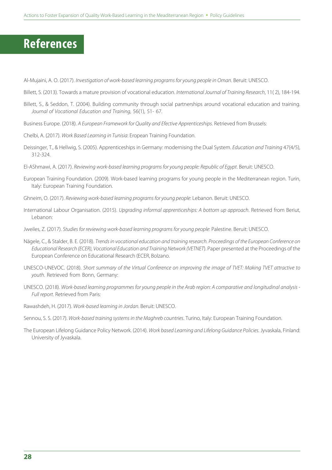## **References**

Al-Mujaini, A. O. (2017). *Investigation of work-based learning programs for young people in Oman*. Beruit: UNESCO.

- Billett, S. (2013). Towards a mature provision of vocational education. *International Journal of Training Research*, 11( 2), 184-194.
- Billett, S., & Seddon, T. (2004). Building community through social partnerships around vocational education and training. *Journal of Vocational Education and Training*, 56(1), 51- 67.
- Business Europe. (2018). *A European Framework for Quality and Efective Apprenticeships*. Retrieved from Brussels:
- Chelbi, A. (2017). *Work Based Learning in Tunisia*: Eropean Training Foundation.
- Deissinger, T., & Hellwig, S. (2005). Apprenticeships in Germany: modernising the Dual System. *Education and Training* 47(4/5), 312-324.
- El-AShmawi, A. (2017). *Reviewing work-based learning programs for young people: Republic of Egypt*. Beruit: UNESCO.
- European Training Foundation. (2009). Work-based learning programs for young people in the Mediterranean region. Turin, Italy: European Training Foundation.
- Ghneim, O. (2017). *Reviewing work-based learning programs for young people*: Lebanon. Beruit: UNESCO.
- International Labour Organisation. (2015). *Upgrading informal apprenticeships: A bottom up approach*. Retrieved from Beriut, Lebanon:
- Jweiles, Z. (2017). *Studies for reviewing work-based learning programs for young people*: Palestine. Beruit: UNESCO.
- Nägele, C., & Stalder, B. E. (2018). *Trends in vocational education and training research. Proceedings of the European Conference on Educational Research (ECER), Vocational Education and Training Network (VETNET*). Paper presented at the Proceedings of the European Conference on Educational Research (ECER, Bolzano.
- UNESCO-UNEVOC. (2018). *Short summary of the Virtual Conference on improving the image of TVET: Making TVET attractive to youth*. Retrieved from Bonn, Germany:
- UNESCO. (2018). *Work-based learning programmes for young people in the Arab region: A comparative and longitudinal analysis Full report*. Retrieved from Paris:
- Rawashdeh, H. (2017). *Work-based learning in Jordan*. Beruit: UNESCO.
- Sennou, S. S. (2017). *Work-based training systems in the Maghreb countries*. Turino, Italy: European Training Foundation.
- The European Lifelong Guidance Policy Network. (2014). *Work based Learning and Lifelong Guidance Policies*. Jyvaskala, Finland: University of Jyvaskala.